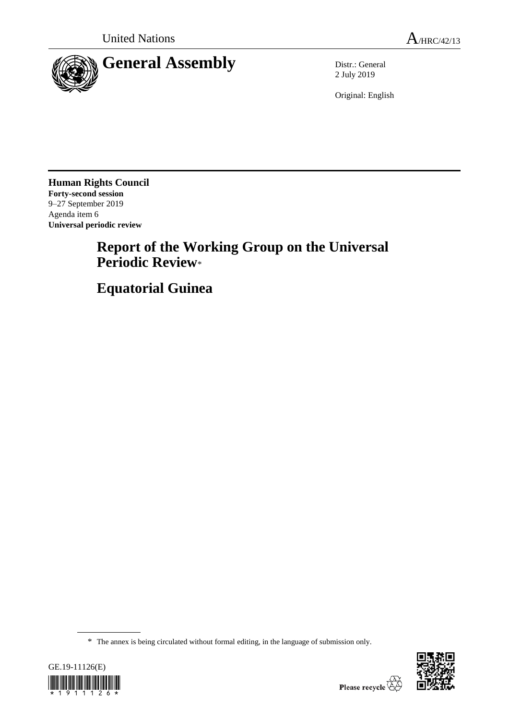

2 July 2019

Original: English

**Human Rights Council Forty-second session** 9–27 September 2019 Agenda item 6 **Universal periodic review**

# **Report of the Working Group on the Universal Periodic Review**\*

**Equatorial Guinea**

<sup>\*</sup> The annex is being circulated without formal editing, in the language of submission only.



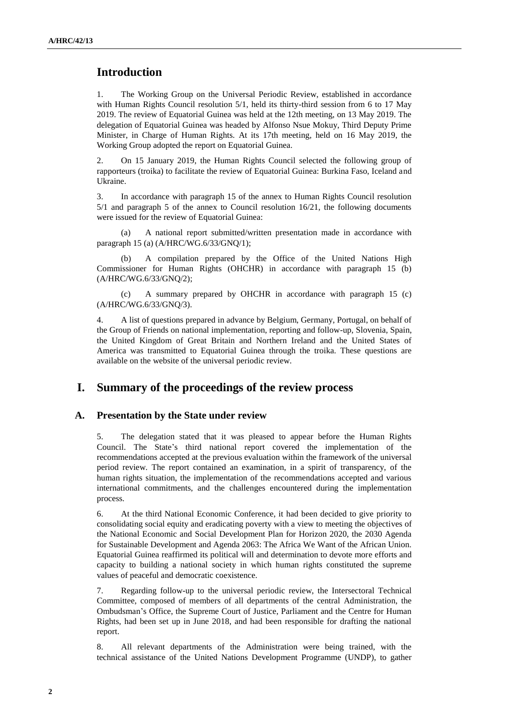# **Introduction**

1. The Working Group on the Universal Periodic Review, established in accordance with Human Rights Council resolution 5/1, held its thirty-third session from 6 to 17 May 2019. The review of Equatorial Guinea was held at the 12th meeting, on 13 May 2019. The delegation of Equatorial Guinea was headed by Alfonso Nsue Mokuy, Third Deputy Prime Minister, in Charge of Human Rights. At its 17th meeting, held on 16 May 2019, the Working Group adopted the report on Equatorial Guinea.

2. On 15 January 2019, the Human Rights Council selected the following group of rapporteurs (troika) to facilitate the review of Equatorial Guinea: Burkina Faso, Iceland and Ukraine.

3. In accordance with paragraph 15 of the annex to Human Rights Council resolution 5/1 and paragraph 5 of the annex to Council resolution 16/21, the following documents were issued for the review of Equatorial Guinea:

(a) A national report submitted/written presentation made in accordance with paragraph 15 (a) (A/HRC/WG.6/33/GNQ/1);

(b) A compilation prepared by the Office of the United Nations High Commissioner for Human Rights (OHCHR) in accordance with paragraph 15 (b) (A/HRC/WG.6/33/GNQ/2);

(c) A summary prepared by OHCHR in accordance with paragraph 15 (c) (A/HRC/WG.6/33/GNQ/3).

4. A list of questions prepared in advance by Belgium, Germany, Portugal, on behalf of the Group of Friends on national implementation, reporting and follow-up, Slovenia, Spain, the United Kingdom of Great Britain and Northern Ireland and the United States of America was transmitted to Equatorial Guinea through the troika. These questions are available on the website of the universal periodic review.

# **I. Summary of the proceedings of the review process**

## **A. Presentation by the State under review**

5. The delegation stated that it was pleased to appear before the Human Rights Council. The State's third national report covered the implementation of the recommendations accepted at the previous evaluation within the framework of the universal period review. The report contained an examination, in a spirit of transparency, of the human rights situation, the implementation of the recommendations accepted and various international commitments, and the challenges encountered during the implementation process.

6. At the third National Economic Conference, it had been decided to give priority to consolidating social equity and eradicating poverty with a view to meeting the objectives of the National Economic and Social Development Plan for Horizon 2020, the 2030 Agenda for Sustainable Development and Agenda 2063: The Africa We Want of the African Union. Equatorial Guinea reaffirmed its political will and determination to devote more efforts and capacity to building a national society in which human rights constituted the supreme values of peaceful and democratic coexistence.

7. Regarding follow-up to the universal periodic review, the Intersectoral Technical Committee, composed of members of all departments of the central Administration, the Ombudsman's Office, the Supreme Court of Justice, Parliament and the Centre for Human Rights, had been set up in June 2018, and had been responsible for drafting the national report.

8. All relevant departments of the Administration were being trained, with the technical assistance of the United Nations Development Programme (UNDP), to gather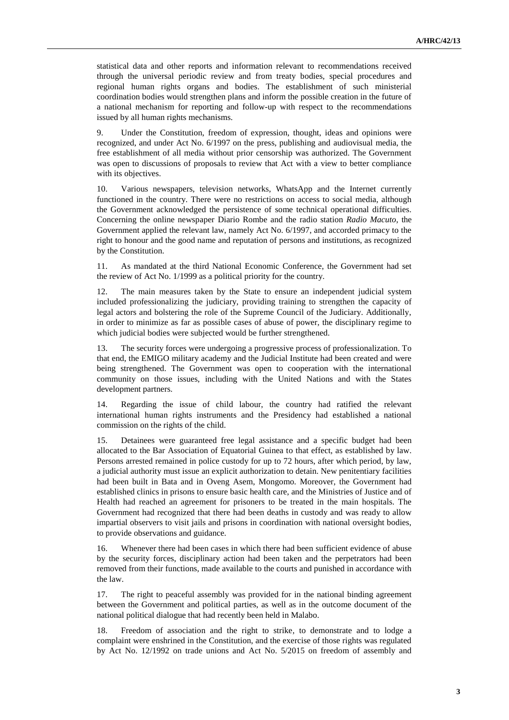statistical data and other reports and information relevant to recommendations received through the universal periodic review and from treaty bodies, special procedures and regional human rights organs and bodies. The establishment of such ministerial coordination bodies would strengthen plans and inform the possible creation in the future of a national mechanism for reporting and follow-up with respect to the recommendations issued by all human rights mechanisms.

9. Under the Constitution, freedom of expression, thought, ideas and opinions were recognized, and under Act No. 6/1997 on the press, publishing and audiovisual media, the free establishment of all media without prior censorship was authorized. The Government was open to discussions of proposals to review that Act with a view to better compliance with its objectives.

10. Various newspapers, television networks, WhatsApp and the Internet currently functioned in the country. There were no restrictions on access to social media, although the Government acknowledged the persistence of some technical operational difficulties. Concerning the online newspaper Diario Rombe and the radio station *Radio Macuto*, the Government applied the relevant law, namely Act No. 6/1997, and accorded primacy to the right to honour and the good name and reputation of persons and institutions, as recognized by the Constitution.

11. As mandated at the third National Economic Conference, the Government had set the review of Act No. 1/1999 as a political priority for the country.

12. The main measures taken by the State to ensure an independent judicial system included professionalizing the judiciary, providing training to strengthen the capacity of legal actors and bolstering the role of the Supreme Council of the Judiciary. Additionally, in order to minimize as far as possible cases of abuse of power, the disciplinary regime to which judicial bodies were subjected would be further strengthened.

13. The security forces were undergoing a progressive process of professionalization. To that end, the EMIGO military academy and the Judicial Institute had been created and were being strengthened. The Government was open to cooperation with the international community on those issues, including with the United Nations and with the States development partners.

14. Regarding the issue of child labour, the country had ratified the relevant international human rights instruments and the Presidency had established a national commission on the rights of the child.

15. Detainees were guaranteed free legal assistance and a specific budget had been allocated to the Bar Association of Equatorial Guinea to that effect, as established by law. Persons arrested remained in police custody for up to 72 hours, after which period, by law, a judicial authority must issue an explicit authorization to detain. New penitentiary facilities had been built in Bata and in Oveng Asem, Mongomo. Moreover, the Government had established clinics in prisons to ensure basic health care, and the Ministries of Justice and of Health had reached an agreement for prisoners to be treated in the main hospitals. The Government had recognized that there had been deaths in custody and was ready to allow impartial observers to visit jails and prisons in coordination with national oversight bodies, to provide observations and guidance.

16. Whenever there had been cases in which there had been sufficient evidence of abuse by the security forces, disciplinary action had been taken and the perpetrators had been removed from their functions, made available to the courts and punished in accordance with the law.

17. The right to peaceful assembly was provided for in the national binding agreement between the Government and political parties, as well as in the outcome document of the national political dialogue that had recently been held in Malabo.

18. Freedom of association and the right to strike, to demonstrate and to lodge a complaint were enshrined in the Constitution, and the exercise of those rights was regulated by Act No. 12/1992 on trade unions and Act No. 5/2015 on freedom of assembly and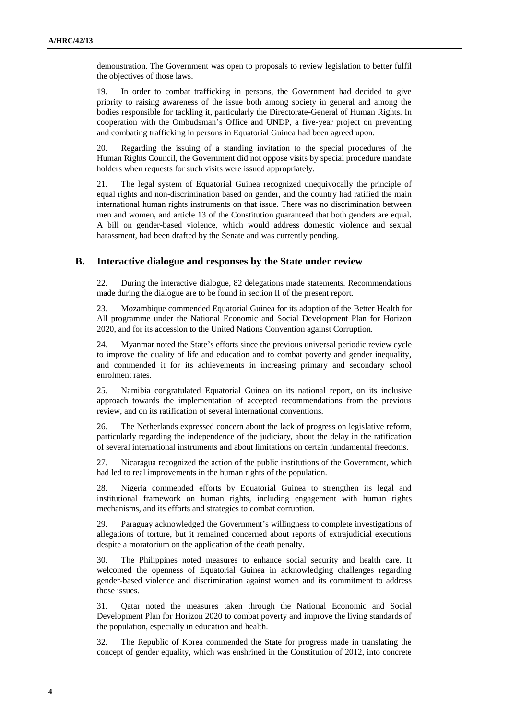demonstration. The Government was open to proposals to review legislation to better fulfil the objectives of those laws.

19. In order to combat trafficking in persons, the Government had decided to give priority to raising awareness of the issue both among society in general and among the bodies responsible for tackling it, particularly the Directorate-General of Human Rights. In cooperation with the Ombudsman's Office and UNDP, a five-year project on preventing and combating trafficking in persons in Equatorial Guinea had been agreed upon.

20. Regarding the issuing of a standing invitation to the special procedures of the Human Rights Council, the Government did not oppose visits by special procedure mandate holders when requests for such visits were issued appropriately.

21. The legal system of Equatorial Guinea recognized unequivocally the principle of equal rights and non-discrimination based on gender, and the country had ratified the main international human rights instruments on that issue. There was no discrimination between men and women, and article 13 of the Constitution guaranteed that both genders are equal. A bill on gender-based violence, which would address domestic violence and sexual harassment, had been drafted by the Senate and was currently pending.

#### **B. Interactive dialogue and responses by the State under review**

22. During the interactive dialogue, 82 delegations made statements. Recommendations made during the dialogue are to be found in section II of the present report.

23. Mozambique commended Equatorial Guinea for its adoption of the Better Health for All programme under the National Economic and Social Development Plan for Horizon 2020, and for its accession to the United Nations Convention against Corruption.

24. Myanmar noted the State's efforts since the previous universal periodic review cycle to improve the quality of life and education and to combat poverty and gender inequality, and commended it for its achievements in increasing primary and secondary school enrolment rates.

25. Namibia congratulated Equatorial Guinea on its national report, on its inclusive approach towards the implementation of accepted recommendations from the previous review, and on its ratification of several international conventions.

26. The Netherlands expressed concern about the lack of progress on legislative reform, particularly regarding the independence of the judiciary, about the delay in the ratification of several international instruments and about limitations on certain fundamental freedoms.

27. Nicaragua recognized the action of the public institutions of the Government, which had led to real improvements in the human rights of the population.

28. Nigeria commended efforts by Equatorial Guinea to strengthen its legal and institutional framework on human rights, including engagement with human rights mechanisms, and its efforts and strategies to combat corruption.

29. Paraguay acknowledged the Government's willingness to complete investigations of allegations of torture, but it remained concerned about reports of extrajudicial executions despite a moratorium on the application of the death penalty.

30. The Philippines noted measures to enhance social security and health care. It welcomed the openness of Equatorial Guinea in acknowledging challenges regarding gender-based violence and discrimination against women and its commitment to address those issues.

31. Qatar noted the measures taken through the National Economic and Social Development Plan for Horizon 2020 to combat poverty and improve the living standards of the population, especially in education and health.

32. The Republic of Korea commended the State for progress made in translating the concept of gender equality, which was enshrined in the Constitution of 2012, into concrete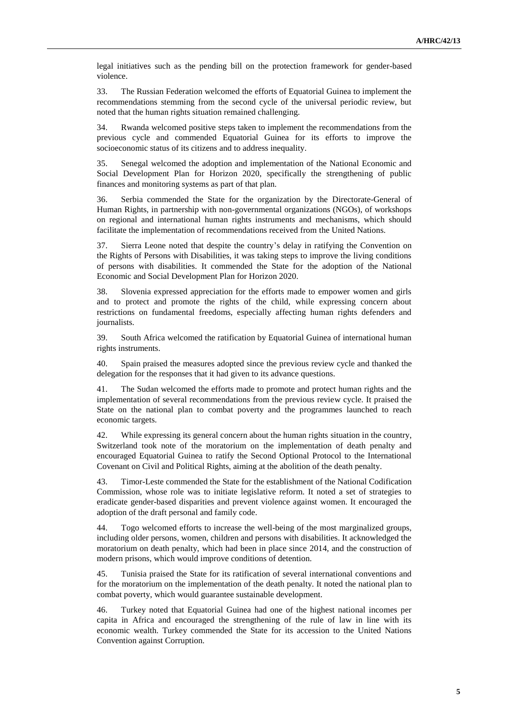legal initiatives such as the pending bill on the protection framework for gender-based violence.

33. The Russian Federation welcomed the efforts of Equatorial Guinea to implement the recommendations stemming from the second cycle of the universal periodic review, but noted that the human rights situation remained challenging.

34. Rwanda welcomed positive steps taken to implement the recommendations from the previous cycle and commended Equatorial Guinea for its efforts to improve the socioeconomic status of its citizens and to address inequality.

35. Senegal welcomed the adoption and implementation of the National Economic and Social Development Plan for Horizon 2020, specifically the strengthening of public finances and monitoring systems as part of that plan.

36. Serbia commended the State for the organization by the Directorate-General of Human Rights, in partnership with non-governmental organizations (NGOs), of workshops on regional and international human rights instruments and mechanisms, which should facilitate the implementation of recommendations received from the United Nations.

37. Sierra Leone noted that despite the country's delay in ratifying the Convention on the Rights of Persons with Disabilities, it was taking steps to improve the living conditions of persons with disabilities. It commended the State for the adoption of the National Economic and Social Development Plan for Horizon 2020.

38. Slovenia expressed appreciation for the efforts made to empower women and girls and to protect and promote the rights of the child, while expressing concern about restrictions on fundamental freedoms, especially affecting human rights defenders and journalists.

39. South Africa welcomed the ratification by Equatorial Guinea of international human rights instruments.

40. Spain praised the measures adopted since the previous review cycle and thanked the delegation for the responses that it had given to its advance questions.

41. The Sudan welcomed the efforts made to promote and protect human rights and the implementation of several recommendations from the previous review cycle. It praised the State on the national plan to combat poverty and the programmes launched to reach economic targets.

42. While expressing its general concern about the human rights situation in the country, Switzerland took note of the moratorium on the implementation of death penalty and encouraged Equatorial Guinea to ratify the Second Optional Protocol to the International Covenant on Civil and Political Rights, aiming at the abolition of the death penalty.

43. Timor-Leste commended the State for the establishment of the National Codification Commission, whose role was to initiate legislative reform. It noted a set of strategies to eradicate gender-based disparities and prevent violence against women. It encouraged the adoption of the draft personal and family code.

44. Togo welcomed efforts to increase the well-being of the most marginalized groups, including older persons, women, children and persons with disabilities. It acknowledged the moratorium on death penalty, which had been in place since 2014, and the construction of modern prisons, which would improve conditions of detention.

45. Tunisia praised the State for its ratification of several international conventions and for the moratorium on the implementation of the death penalty. It noted the national plan to combat poverty, which would guarantee sustainable development.

46. Turkey noted that Equatorial Guinea had one of the highest national incomes per capita in Africa and encouraged the strengthening of the rule of law in line with its economic wealth. Turkey commended the State for its accession to the United Nations Convention against Corruption.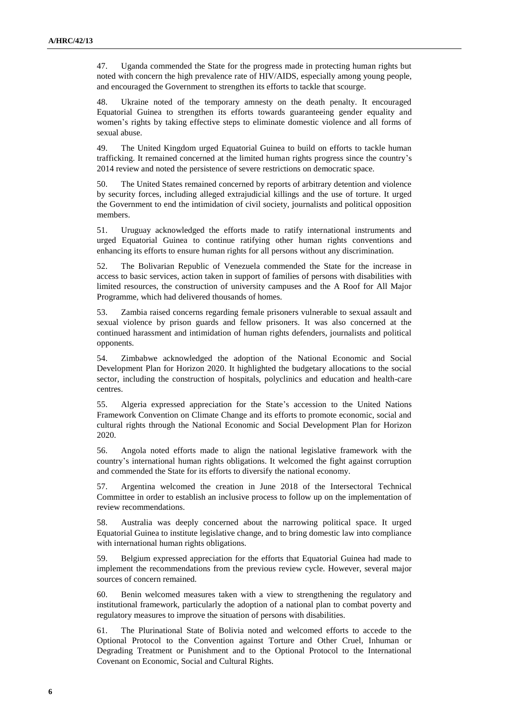47. Uganda commended the State for the progress made in protecting human rights but noted with concern the high prevalence rate of HIV/AIDS, especially among young people, and encouraged the Government to strengthen its efforts to tackle that scourge.

48. Ukraine noted of the temporary amnesty on the death penalty. It encouraged Equatorial Guinea to strengthen its efforts towards guaranteeing gender equality and women's rights by taking effective steps to eliminate domestic violence and all forms of sexual abuse.

49. The United Kingdom urged Equatorial Guinea to build on efforts to tackle human trafficking. It remained concerned at the limited human rights progress since the country's 2014 review and noted the persistence of severe restrictions on democratic space.

50. The United States remained concerned by reports of arbitrary detention and violence by security forces, including alleged extrajudicial killings and the use of torture. It urged the Government to end the intimidation of civil society, journalists and political opposition members.

51. Uruguay acknowledged the efforts made to ratify international instruments and urged Equatorial Guinea to continue ratifying other human rights conventions and enhancing its efforts to ensure human rights for all persons without any discrimination.

52. The Bolivarian Republic of Venezuela commended the State for the increase in access to basic services, action taken in support of families of persons with disabilities with limited resources, the construction of university campuses and the A Roof for All Major Programme, which had delivered thousands of homes.

53. Zambia raised concerns regarding female prisoners vulnerable to sexual assault and sexual violence by prison guards and fellow prisoners. It was also concerned at the continued harassment and intimidation of human rights defenders, journalists and political opponents.

54. Zimbabwe acknowledged the adoption of the National Economic and Social Development Plan for Horizon 2020. It highlighted the budgetary allocations to the social sector, including the construction of hospitals, polyclinics and education and health-care centres.

55. Algeria expressed appreciation for the State's accession to the United Nations Framework Convention on Climate Change and its efforts to promote economic, social and cultural rights through the National Economic and Social Development Plan for Horizon 2020.

56. Angola noted efforts made to align the national legislative framework with the country's international human rights obligations. It welcomed the fight against corruption and commended the State for its efforts to diversify the national economy.

57. Argentina welcomed the creation in June 2018 of the Intersectoral Technical Committee in order to establish an inclusive process to follow up on the implementation of review recommendations.

58. Australia was deeply concerned about the narrowing political space. It urged Equatorial Guinea to institute legislative change, and to bring domestic law into compliance with international human rights obligations.

59. Belgium expressed appreciation for the efforts that Equatorial Guinea had made to implement the recommendations from the previous review cycle. However, several major sources of concern remained.

60. Benin welcomed measures taken with a view to strengthening the regulatory and institutional framework, particularly the adoption of a national plan to combat poverty and regulatory measures to improve the situation of persons with disabilities.

61. The Plurinational State of Bolivia noted and welcomed efforts to accede to the Optional Protocol to the Convention against Torture and Other Cruel, Inhuman or Degrading Treatment or Punishment and to the Optional Protocol to the International Covenant on Economic, Social and Cultural Rights.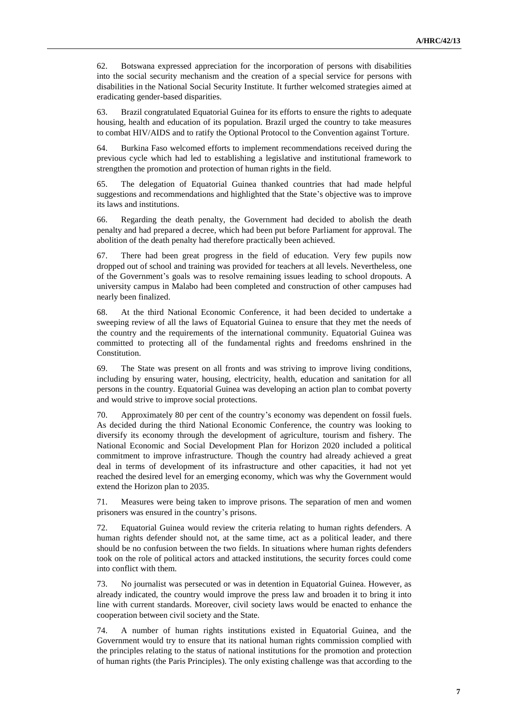62. Botswana expressed appreciation for the incorporation of persons with disabilities into the social security mechanism and the creation of a special service for persons with disabilities in the National Social Security Institute. It further welcomed strategies aimed at eradicating gender-based disparities.

63. Brazil congratulated Equatorial Guinea for its efforts to ensure the rights to adequate housing, health and education of its population. Brazil urged the country to take measures to combat HIV/AIDS and to ratify the Optional Protocol to the Convention against Torture.

64. Burkina Faso welcomed efforts to implement recommendations received during the previous cycle which had led to establishing a legislative and institutional framework to strengthen the promotion and protection of human rights in the field.

65. The delegation of Equatorial Guinea thanked countries that had made helpful suggestions and recommendations and highlighted that the State's objective was to improve its laws and institutions.

66. Regarding the death penalty, the Government had decided to abolish the death penalty and had prepared a decree, which had been put before Parliament for approval. The abolition of the death penalty had therefore practically been achieved.

67. There had been great progress in the field of education. Very few pupils now dropped out of school and training was provided for teachers at all levels. Nevertheless, one of the Government's goals was to resolve remaining issues leading to school dropouts. A university campus in Malabo had been completed and construction of other campuses had nearly been finalized.

68. At the third National Economic Conference, it had been decided to undertake a sweeping review of all the laws of Equatorial Guinea to ensure that they met the needs of the country and the requirements of the international community. Equatorial Guinea was committed to protecting all of the fundamental rights and freedoms enshrined in the Constitution.

69. The State was present on all fronts and was striving to improve living conditions, including by ensuring water, housing, electricity, health, education and sanitation for all persons in the country. Equatorial Guinea was developing an action plan to combat poverty and would strive to improve social protections.

70. Approximately 80 per cent of the country's economy was dependent on fossil fuels. As decided during the third National Economic Conference, the country was looking to diversify its economy through the development of agriculture, tourism and fishery. The National Economic and Social Development Plan for Horizon 2020 included a political commitment to improve infrastructure. Though the country had already achieved a great deal in terms of development of its infrastructure and other capacities, it had not yet reached the desired level for an emerging economy, which was why the Government would extend the Horizon plan to 2035.

71. Measures were being taken to improve prisons. The separation of men and women prisoners was ensured in the country's prisons.

72. Equatorial Guinea would review the criteria relating to human rights defenders. A human rights defender should not, at the same time, act as a political leader, and there should be no confusion between the two fields. In situations where human rights defenders took on the role of political actors and attacked institutions, the security forces could come into conflict with them.

73. No journalist was persecuted or was in detention in Equatorial Guinea. However, as already indicated, the country would improve the press law and broaden it to bring it into line with current standards. Moreover, civil society laws would be enacted to enhance the cooperation between civil society and the State.

74. A number of human rights institutions existed in Equatorial Guinea, and the Government would try to ensure that its national human rights commission complied with the principles relating to the status of national institutions for the promotion and protection of human rights (the Paris Principles). The only existing challenge was that according to the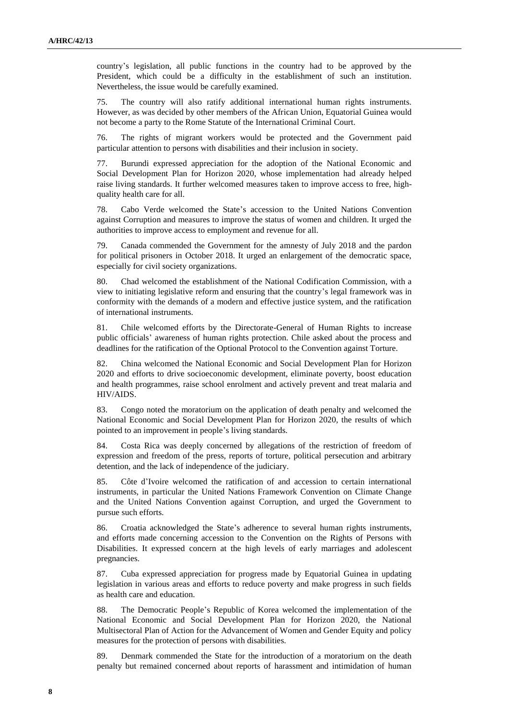country's legislation, all public functions in the country had to be approved by the President, which could be a difficulty in the establishment of such an institution. Nevertheless, the issue would be carefully examined.

75. The country will also ratify additional international human rights instruments. However, as was decided by other members of the African Union, Equatorial Guinea would not become a party to the Rome Statute of the International Criminal Court.

76. The rights of migrant workers would be protected and the Government paid particular attention to persons with disabilities and their inclusion in society.

77. Burundi expressed appreciation for the adoption of the National Economic and Social Development Plan for Horizon 2020, whose implementation had already helped raise living standards. It further welcomed measures taken to improve access to free, highquality health care for all.

78. Cabo Verde welcomed the State's accession to the United Nations Convention against Corruption and measures to improve the status of women and children. It urged the authorities to improve access to employment and revenue for all.

79. Canada commended the Government for the amnesty of July 2018 and the pardon for political prisoners in October 2018. It urged an enlargement of the democratic space, especially for civil society organizations.

80. Chad welcomed the establishment of the National Codification Commission, with a view to initiating legislative reform and ensuring that the country's legal framework was in conformity with the demands of a modern and effective justice system, and the ratification of international instruments.

81. Chile welcomed efforts by the Directorate-General of Human Rights to increase public officials' awareness of human rights protection. Chile asked about the process and deadlines for the ratification of the Optional Protocol to the Convention against Torture.

82. China welcomed the National Economic and Social Development Plan for Horizon 2020 and efforts to drive socioeconomic development, eliminate poverty, boost education and health programmes, raise school enrolment and actively prevent and treat malaria and HIV/AIDS.

83. Congo noted the moratorium on the application of death penalty and welcomed the National Economic and Social Development Plan for Horizon 2020, the results of which pointed to an improvement in people's living standards.

84. Costa Rica was deeply concerned by allegations of the restriction of freedom of expression and freedom of the press, reports of torture, political persecution and arbitrary detention, and the lack of independence of the judiciary.

85. Côte d'Ivoire welcomed the ratification of and accession to certain international instruments, in particular the United Nations Framework Convention on Climate Change and the United Nations Convention against Corruption, and urged the Government to pursue such efforts.

86. Croatia acknowledged the State's adherence to several human rights instruments, and efforts made concerning accession to the Convention on the Rights of Persons with Disabilities. It expressed concern at the high levels of early marriages and adolescent pregnancies.

87. Cuba expressed appreciation for progress made by Equatorial Guinea in updating legislation in various areas and efforts to reduce poverty and make progress in such fields as health care and education.

88. The Democratic People's Republic of Korea welcomed the implementation of the National Economic and Social Development Plan for Horizon 2020, the National Multisectoral Plan of Action for the Advancement of Women and Gender Equity and policy measures for the protection of persons with disabilities.

89. Denmark commended the State for the introduction of a moratorium on the death penalty but remained concerned about reports of harassment and intimidation of human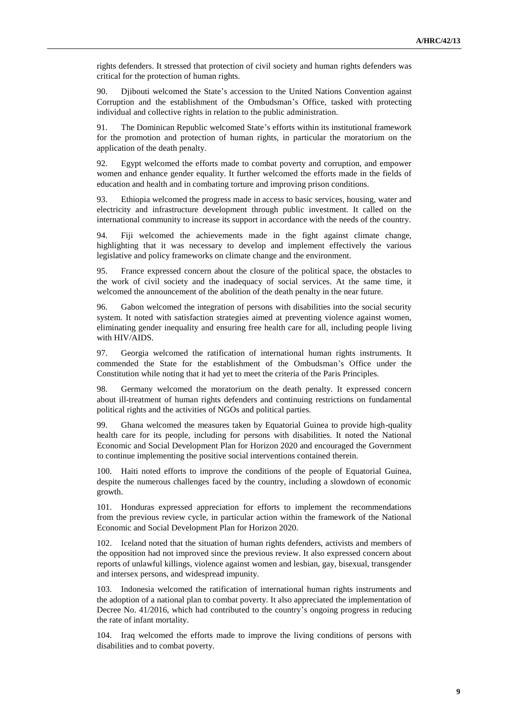rights defenders. It stressed that protection of civil society and human rights defenders was critical for the protection of human rights.

90. Djibouti welcomed the State's accession to the United Nations Convention against Corruption and the establishment of the Ombudsman's Office, tasked with protecting individual and collective rights in relation to the public administration.

91. The Dominican Republic welcomed State's efforts within its institutional framework for the promotion and protection of human rights, in particular the moratorium on the application of the death penalty.

92. Egypt welcomed the efforts made to combat poverty and corruption, and empower women and enhance gender equality. It further welcomed the efforts made in the fields of education and health and in combating torture and improving prison conditions.

93. Ethiopia welcomed the progress made in access to basic services, housing, water and electricity and infrastructure development through public investment. It called on the international community to increase its support in accordance with the needs of the country.

94. Fiji welcomed the achievements made in the fight against climate change, highlighting that it was necessary to develop and implement effectively the various legislative and policy frameworks on climate change and the environment.

95. France expressed concern about the closure of the political space, the obstacles to the work of civil society and the inadequacy of social services. At the same time, it welcomed the announcement of the abolition of the death penalty in the near future.

96. Gabon welcomed the integration of persons with disabilities into the social security system. It noted with satisfaction strategies aimed at preventing violence against women, eliminating gender inequality and ensuring free health care for all, including people living with HIV/AIDS.

97. Georgia welcomed the ratification of international human rights instruments. It commended the State for the establishment of the Ombudsman's Office under the Constitution while noting that it had yet to meet the criteria of the Paris Principles.

98. Germany welcomed the moratorium on the death penalty. It expressed concern about ill-treatment of human rights defenders and continuing restrictions on fundamental political rights and the activities of NGOs and political parties.

99. Ghana welcomed the measures taken by Equatorial Guinea to provide high-quality health care for its people, including for persons with disabilities. It noted the National Economic and Social Development Plan for Horizon 2020 and encouraged the Government to continue implementing the positive social interventions contained therein.

100. Haiti noted efforts to improve the conditions of the people of Equatorial Guinea, despite the numerous challenges faced by the country, including a slowdown of economic growth.

101. Honduras expressed appreciation for efforts to implement the recommendations from the previous review cycle, in particular action within the framework of the National Economic and Social Development Plan for Horizon 2020.

102. Iceland noted that the situation of human rights defenders, activists and members of the opposition had not improved since the previous review. It also expressed concern about reports of unlawful killings, violence against women and lesbian, gay, bisexual, transgender and intersex persons, and widespread impunity.

103. Indonesia welcomed the ratification of international human rights instruments and the adoption of a national plan to combat poverty. It also appreciated the implementation of Decree No. 41/2016, which had contributed to the country's ongoing progress in reducing the rate of infant mortality.

104. Iraq welcomed the efforts made to improve the living conditions of persons with disabilities and to combat poverty.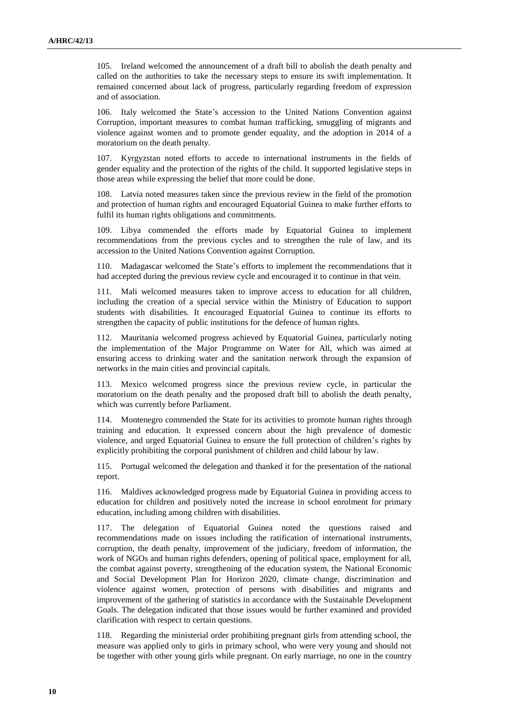105. Ireland welcomed the announcement of a draft bill to abolish the death penalty and called on the authorities to take the necessary steps to ensure its swift implementation. It remained concerned about lack of progress, particularly regarding freedom of expression and of association.

106. Italy welcomed the State's accession to the United Nations Convention against Corruption, important measures to combat human trafficking, smuggling of migrants and violence against women and to promote gender equality, and the adoption in 2014 of a moratorium on the death penalty.

107. Kyrgyzstan noted efforts to accede to international instruments in the fields of gender equality and the protection of the rights of the child. It supported legislative steps in those areas while expressing the belief that more could be done.

108. Latvia noted measures taken since the previous review in the field of the promotion and protection of human rights and encouraged Equatorial Guinea to make further efforts to fulfil its human rights obligations and commitments.

109. Libya commended the efforts made by Equatorial Guinea to implement recommendations from the previous cycles and to strengthen the rule of law, and its accession to the United Nations Convention against Corruption.

110. Madagascar welcomed the State's efforts to implement the recommendations that it had accepted during the previous review cycle and encouraged it to continue in that vein.

111. Mali welcomed measures taken to improve access to education for all children, including the creation of a special service within the Ministry of Education to support students with disabilities. It encouraged Equatorial Guinea to continue its efforts to strengthen the capacity of public institutions for the defence of human rights.

112. Mauritania welcomed progress achieved by Equatorial Guinea, particularly noting the implementation of the Major Programme on Water for All, which was aimed at ensuring access to drinking water and the sanitation network through the expansion of networks in the main cities and provincial capitals.

113. Mexico welcomed progress since the previous review cycle, in particular the moratorium on the death penalty and the proposed draft bill to abolish the death penalty, which was currently before Parliament.

114. Montenegro commended the State for its activities to promote human rights through training and education. It expressed concern about the high prevalence of domestic violence, and urged Equatorial Guinea to ensure the full protection of children's rights by explicitly prohibiting the corporal punishment of children and child labour by law.

115. Portugal welcomed the delegation and thanked it for the presentation of the national report.

116. Maldives acknowledged progress made by Equatorial Guinea in providing access to education for children and positively noted the increase in school enrolment for primary education, including among children with disabilities.

117. The delegation of Equatorial Guinea noted the questions raised and recommendations made on issues including the ratification of international instruments, corruption, the death penalty, improvement of the judiciary, freedom of information, the work of NGOs and human rights defenders, opening of political space, employment for all, the combat against poverty, strengthening of the education system, the National Economic and Social Development Plan for Horizon 2020, climate change, discrimination and violence against women, protection of persons with disabilities and migrants and improvement of the gathering of statistics in accordance with the Sustainable Development Goals. The delegation indicated that those issues would be further examined and provided clarification with respect to certain questions.

118. Regarding the ministerial order prohibiting pregnant girls from attending school, the measure was applied only to girls in primary school, who were very young and should not be together with other young girls while pregnant. On early marriage, no one in the country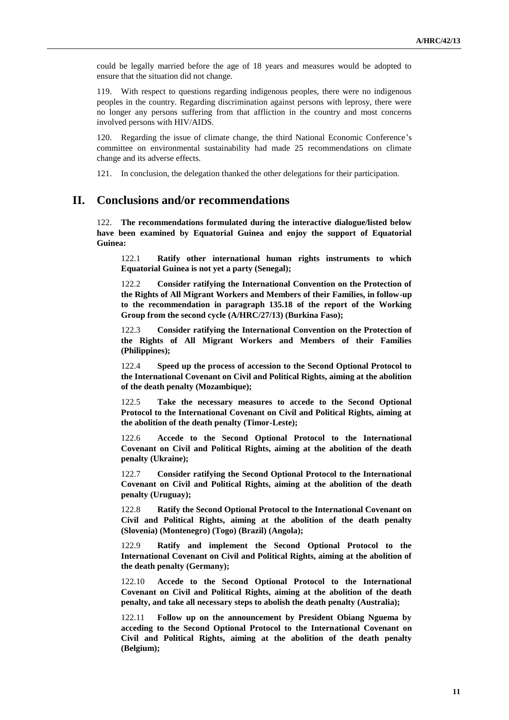could be legally married before the age of 18 years and measures would be adopted to ensure that the situation did not change.

119. With respect to questions regarding indigenous peoples, there were no indigenous peoples in the country. Regarding discrimination against persons with leprosy, there were no longer any persons suffering from that affliction in the country and most concerns involved persons with HIV/AIDS.

120. Regarding the issue of climate change, the third National Economic Conference's committee on environmental sustainability had made 25 recommendations on climate change and its adverse effects.

121. In conclusion, the delegation thanked the other delegations for their participation.

# **II. Conclusions and/or recommendations**

122. **The recommendations formulated during the interactive dialogue/listed below have been examined by Equatorial Guinea and enjoy the support of Equatorial Guinea:**

122.1 **Ratify other international human rights instruments to which Equatorial Guinea is not yet a party (Senegal);**

122.2 **Consider ratifying the International Convention on the Protection of the Rights of All Migrant Workers and Members of their Families, in follow-up to the recommendation in paragraph 135.18 of the report of the Working Group from the second cycle (A/HRC/27/13) (Burkina Faso);**

122.3 **Consider ratifying the International Convention on the Protection of the Rights of All Migrant Workers and Members of their Families (Philippines);**

122.4 **Speed up the process of accession to the Second Optional Protocol to the International Covenant on Civil and Political Rights, aiming at the abolition of the death penalty (Mozambique);**

122.5 **Take the necessary measures to accede to the Second Optional Protocol to the International Covenant on Civil and Political Rights, aiming at the abolition of the death penalty (Timor-Leste);**

122.6 **Accede to the Second Optional Protocol to the International Covenant on Civil and Political Rights, aiming at the abolition of the death penalty (Ukraine);**

122.7 **Consider ratifying the Second Optional Protocol to the International Covenant on Civil and Political Rights, aiming at the abolition of the death penalty (Uruguay);**

122.8 **Ratify the Second Optional Protocol to the International Covenant on Civil and Political Rights, aiming at the abolition of the death penalty (Slovenia) (Montenegro) (Togo) (Brazil) (Angola);**

122.9 **Ratify and implement the Second Optional Protocol to the International Covenant on Civil and Political Rights, aiming at the abolition of the death penalty (Germany);**

122.10 **Accede to the Second Optional Protocol to the International Covenant on Civil and Political Rights, aiming at the abolition of the death penalty, and take all necessary steps to abolish the death penalty (Australia);**

122.11 **Follow up on the announcement by President Obiang Nguema by acceding to the Second Optional Protocol to the International Covenant on Civil and Political Rights, aiming at the abolition of the death penalty (Belgium);**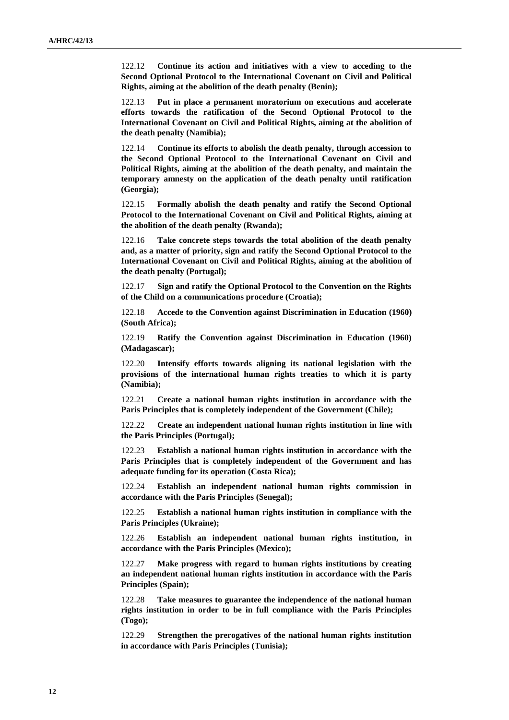122.12 **Continue its action and initiatives with a view to acceding to the Second Optional Protocol to the International Covenant on Civil and Political Rights, aiming at the abolition of the death penalty (Benin);**

122.13 **Put in place a permanent moratorium on executions and accelerate efforts towards the ratification of the Second Optional Protocol to the International Covenant on Civil and Political Rights, aiming at the abolition of the death penalty (Namibia);**

122.14 **Continue its efforts to abolish the death penalty, through accession to the Second Optional Protocol to the International Covenant on Civil and Political Rights, aiming at the abolition of the death penalty, and maintain the temporary amnesty on the application of the death penalty until ratification (Georgia);**

122.15 **Formally abolish the death penalty and ratify the Second Optional Protocol to the International Covenant on Civil and Political Rights, aiming at the abolition of the death penalty (Rwanda);**

122.16 **Take concrete steps towards the total abolition of the death penalty and, as a matter of priority, sign and ratify the Second Optional Protocol to the International Covenant on Civil and Political Rights, aiming at the abolition of the death penalty (Portugal);**

122.17 **Sign and ratify the Optional Protocol to the Convention on the Rights of the Child on a communications procedure (Croatia);**

122.18 **Accede to the Convention against Discrimination in Education (1960) (South Africa);**

122.19 **Ratify the Convention against Discrimination in Education (1960) (Madagascar);**

122.20 **Intensify efforts towards aligning its national legislation with the provisions of the international human rights treaties to which it is party (Namibia);**

122.21 **Create a national human rights institution in accordance with the Paris Principles that is completely independent of the Government (Chile);**

122.22 **Create an independent national human rights institution in line with the Paris Principles (Portugal);**

122.23 **Establish a national human rights institution in accordance with the Paris Principles that is completely independent of the Government and has adequate funding for its operation (Costa Rica);**

122.24 **Establish an independent national human rights commission in accordance with the Paris Principles (Senegal);**

122.25 **Establish a national human rights institution in compliance with the Paris Principles (Ukraine);**

122.26 **Establish an independent national human rights institution, in accordance with the Paris Principles (Mexico);**

122.27 **Make progress with regard to human rights institutions by creating an independent national human rights institution in accordance with the Paris Principles (Spain);**

122.28 **Take measures to guarantee the independence of the national human rights institution in order to be in full compliance with the Paris Principles (Togo);**

122.29 **Strengthen the prerogatives of the national human rights institution in accordance with Paris Principles (Tunisia);**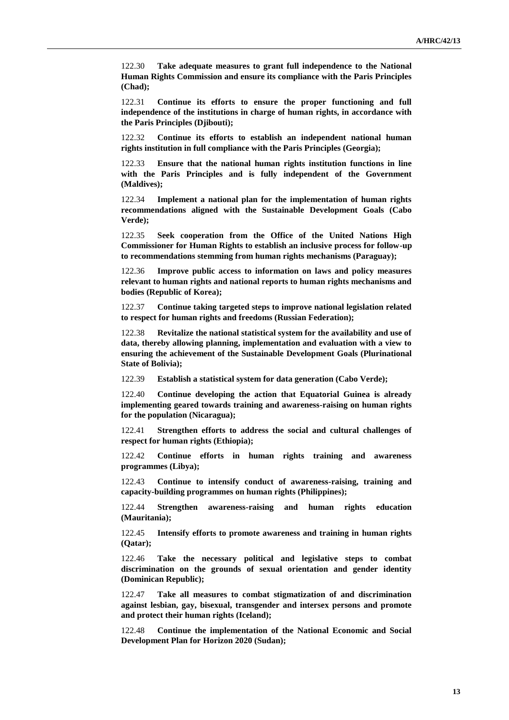122.30 **Take adequate measures to grant full independence to the National Human Rights Commission and ensure its compliance with the Paris Principles (Chad);**

122.31 **Continue its efforts to ensure the proper functioning and full independence of the institutions in charge of human rights, in accordance with the Paris Principles (Djibouti);**

122.32 **Continue its efforts to establish an independent national human rights institution in full compliance with the Paris Principles (Georgia);**

122.33 **Ensure that the national human rights institution functions in line with the Paris Principles and is fully independent of the Government (Maldives);**

122.34 **Implement a national plan for the implementation of human rights recommendations aligned with the Sustainable Development Goals (Cabo Verde);**

122.35 **Seek cooperation from the Office of the United Nations High Commissioner for Human Rights to establish an inclusive process for follow-up to recommendations stemming from human rights mechanisms (Paraguay);**

122.36 **Improve public access to information on laws and policy measures relevant to human rights and national reports to human rights mechanisms and bodies (Republic of Korea);**

122.37 **Continue taking targeted steps to improve national legislation related to respect for human rights and freedoms (Russian Federation);**

122.38 **Revitalize the national statistical system for the availability and use of data, thereby allowing planning, implementation and evaluation with a view to ensuring the achievement of the Sustainable Development Goals (Plurinational State of Bolivia);**

122.39 **Establish a statistical system for data generation (Cabo Verde);**

122.40 **Continue developing the action that Equatorial Guinea is already implementing geared towards training and awareness-raising on human rights for the population (Nicaragua);**

122.41 **Strengthen efforts to address the social and cultural challenges of respect for human rights (Ethiopia);**

122.42 **Continue efforts in human rights training and awareness programmes (Libya);**

122.43 **Continue to intensify conduct of awareness-raising, training and capacity-building programmes on human rights (Philippines);**

122.44 **Strengthen awareness-raising and human rights education (Mauritania);**

122.45 **Intensify efforts to promote awareness and training in human rights (Qatar);**

122.46 **Take the necessary political and legislative steps to combat discrimination on the grounds of sexual orientation and gender identity (Dominican Republic);**

122.47 **Take all measures to combat stigmatization of and discrimination against lesbian, gay, bisexual, transgender and intersex persons and promote and protect their human rights (Iceland);**

122.48 **Continue the implementation of the National Economic and Social Development Plan for Horizon 2020 (Sudan);**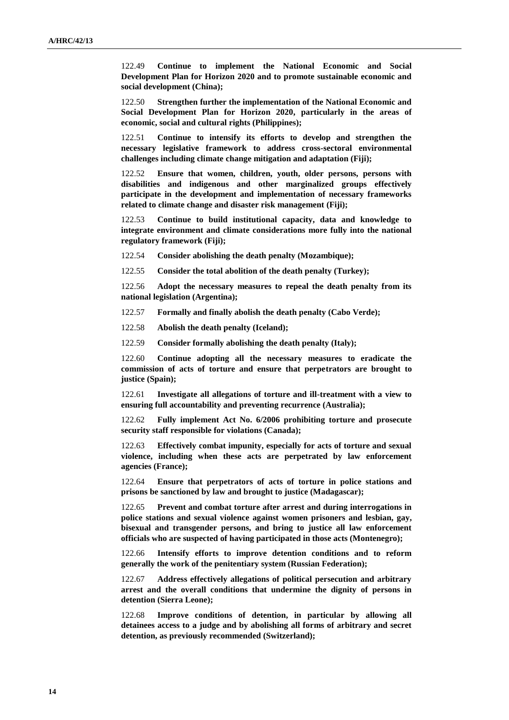122.49 **Continue to implement the National Economic and Social Development Plan for Horizon 2020 and to promote sustainable economic and social development (China);**

122.50 **Strengthen further the implementation of the National Economic and Social Development Plan for Horizon 2020, particularly in the areas of economic, social and cultural rights (Philippines);**

122.51 **Continue to intensify its efforts to develop and strengthen the necessary legislative framework to address cross-sectoral environmental challenges including climate change mitigation and adaptation (Fiji);**

122.52 **Ensure that women, children, youth, older persons, persons with disabilities and indigenous and other marginalized groups effectively participate in the development and implementation of necessary frameworks related to climate change and disaster risk management (Fiji);**

122.53 **Continue to build institutional capacity, data and knowledge to integrate environment and climate considerations more fully into the national regulatory framework (Fiji);**

122.54 **Consider abolishing the death penalty (Mozambique);**

122.55 **Consider the total abolition of the death penalty (Turkey);**

122.56 **Adopt the necessary measures to repeal the death penalty from its national legislation (Argentina);**

122.57 **Formally and finally abolish the death penalty (Cabo Verde);**

122.58 **Abolish the death penalty (Iceland);**

122.59 **Consider formally abolishing the death penalty (Italy);**

122.60 **Continue adopting all the necessary measures to eradicate the commission of acts of torture and ensure that perpetrators are brought to justice (Spain);**

122.61 **Investigate all allegations of torture and ill-treatment with a view to ensuring full accountability and preventing recurrence (Australia);**

122.62 **Fully implement Act No. 6/2006 prohibiting torture and prosecute security staff responsible for violations (Canada);**

122.63 **Effectively combat impunity, especially for acts of torture and sexual violence, including when these acts are perpetrated by law enforcement agencies (France);**

122.64 **Ensure that perpetrators of acts of torture in police stations and prisons be sanctioned by law and brought to justice (Madagascar);**

122.65 **Prevent and combat torture after arrest and during interrogations in police stations and sexual violence against women prisoners and lesbian, gay, bisexual and transgender persons, and bring to justice all law enforcement officials who are suspected of having participated in those acts (Montenegro);**

122.66 **Intensify efforts to improve detention conditions and to reform generally the work of the penitentiary system (Russian Federation);**

122.67 **Address effectively allegations of political persecution and arbitrary arrest and the overall conditions that undermine the dignity of persons in detention (Sierra Leone);**

122.68 **Improve conditions of detention, in particular by allowing all detainees access to a judge and by abolishing all forms of arbitrary and secret detention, as previously recommended (Switzerland);**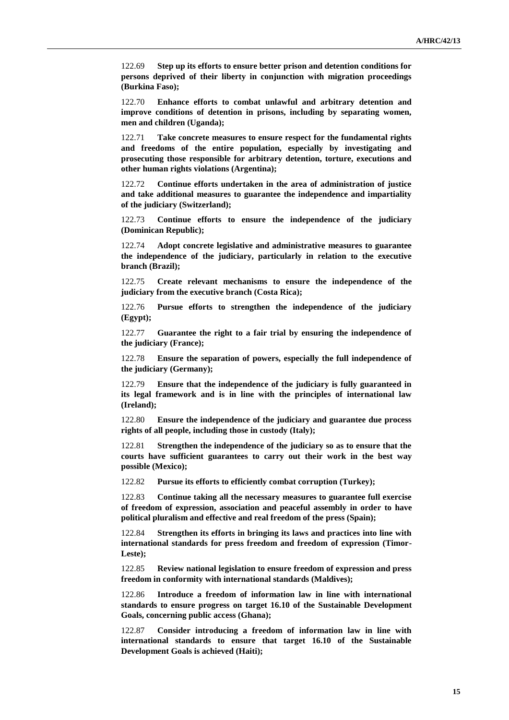122.69 **Step up its efforts to ensure better prison and detention conditions for persons deprived of their liberty in conjunction with migration proceedings (Burkina Faso);**

122.70 **Enhance efforts to combat unlawful and arbitrary detention and improve conditions of detention in prisons, including by separating women, men and children (Uganda);**

122.71 **Take concrete measures to ensure respect for the fundamental rights and freedoms of the entire population, especially by investigating and prosecuting those responsible for arbitrary detention, torture, executions and other human rights violations (Argentina);**

122.72 **Continue efforts undertaken in the area of administration of justice and take additional measures to guarantee the independence and impartiality of the judiciary (Switzerland);**

122.73 **Continue efforts to ensure the independence of the judiciary (Dominican Republic);**

122.74 **Adopt concrete legislative and administrative measures to guarantee the independence of the judiciary, particularly in relation to the executive branch (Brazil);**

122.75 **Create relevant mechanisms to ensure the independence of the judiciary from the executive branch (Costa Rica);**

122.76 **Pursue efforts to strengthen the independence of the judiciary (Egypt);**

122.77 **Guarantee the right to a fair trial by ensuring the independence of the judiciary (France);**

122.78 **Ensure the separation of powers, especially the full independence of the judiciary (Germany);**

122.79 **Ensure that the independence of the judiciary is fully guaranteed in its legal framework and is in line with the principles of international law (Ireland);**

122.80 **Ensure the independence of the judiciary and guarantee due process rights of all people, including those in custody (Italy);**

122.81 **Strengthen the independence of the judiciary so as to ensure that the courts have sufficient guarantees to carry out their work in the best way possible (Mexico);**

122.82 **Pursue its efforts to efficiently combat corruption (Turkey);**

122.83 **Continue taking all the necessary measures to guarantee full exercise of freedom of expression, association and peaceful assembly in order to have political pluralism and effective and real freedom of the press (Spain);**

122.84 **Strengthen its efforts in bringing its laws and practices into line with international standards for press freedom and freedom of expression (Timor-Leste);**

122.85 **Review national legislation to ensure freedom of expression and press freedom in conformity with international standards (Maldives);**

122.86 **Introduce a freedom of information law in line with international standards to ensure progress on target 16.10 of the Sustainable Development Goals, concerning public access (Ghana);**

122.87 **Consider introducing a freedom of information law in line with international standards to ensure that target 16.10 of the Sustainable Development Goals is achieved (Haiti);**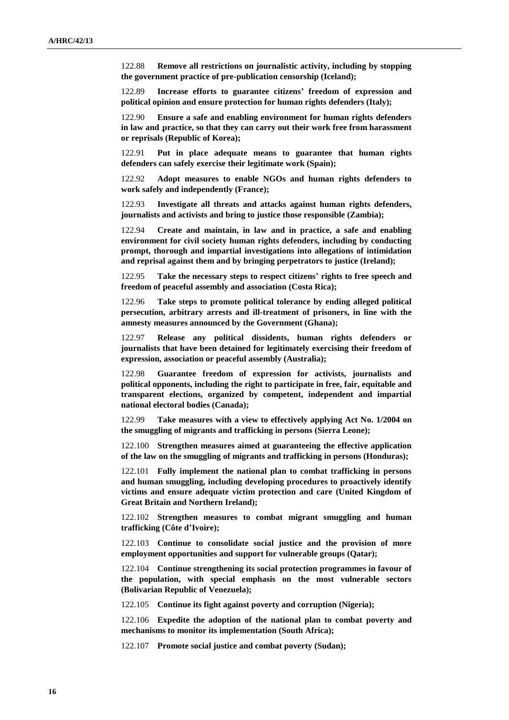122.88 **Remove all restrictions on journalistic activity, including by stopping the government practice of pre-publication censorship (Iceland);**

122.89 **Increase efforts to guarantee citizens' freedom of expression and political opinion and ensure protection for human rights defenders (Italy);**

122.90 **Ensure a safe and enabling environment for human rights defenders in law and practice, so that they can carry out their work free from harassment or reprisals (Republic of Korea);**

122.91 **Put in place adequate means to guarantee that human rights defenders can safely exercise their legitimate work (Spain);**

122.92 **Adopt measures to enable NGOs and human rights defenders to work safely and independently (France);**

122.93 **Investigate all threats and attacks against human rights defenders, journalists and activists and bring to justice those responsible (Zambia);**

122.94 **Create and maintain, in law and in practice, a safe and enabling environment for civil society human rights defenders, including by conducting prompt, thorough and impartial investigations into allegations of intimidation and reprisal against them and by bringing perpetrators to justice (Ireland);**

122.95 **Take the necessary steps to respect citizens' rights to free speech and freedom of peaceful assembly and association (Costa Rica);**

122.96 **Take steps to promote political tolerance by ending alleged political persecution, arbitrary arrests and ill-treatment of prisoners, in line with the amnesty measures announced by the Government (Ghana);**

122.97 **Release any political dissidents, human rights defenders or journalists that have been detained for legitimately exercising their freedom of expression, association or peaceful assembly (Australia);**

122.98 **Guarantee freedom of expression for activists, journalists and political opponents, including the right to participate in free, fair, equitable and transparent elections, organized by competent, independent and impartial national electoral bodies (Canada);**

122.99 **Take measures with a view to effectively applying Act No. 1/2004 on the smuggling of migrants and trafficking in persons (Sierra Leone);**

122.100 **Strengthen measures aimed at guaranteeing the effective application of the law on the smuggling of migrants and trafficking in persons (Honduras);**

122.101 **Fully implement the national plan to combat trafficking in persons and human smuggling, including developing procedures to proactively identify victims and ensure adequate victim protection and care (United Kingdom of Great Britain and Northern Ireland);**

122.102 **Strengthen measures to combat migrant smuggling and human trafficking (Côte d'Ivoire);**

122.103 **Continue to consolidate social justice and the provision of more employment opportunities and support for vulnerable groups (Qatar);**

122.104 **Continue strengthening its social protection programmes in favour of the population, with special emphasis on the most vulnerable sectors (Bolivarian Republic of Venezuela);**

122.105 **Continue its fight against poverty and corruption (Nigeria);**

122.106 **Expedite the adoption of the national plan to combat poverty and mechanisms to monitor its implementation (South Africa);**

122.107 **Promote social justice and combat poverty (Sudan);**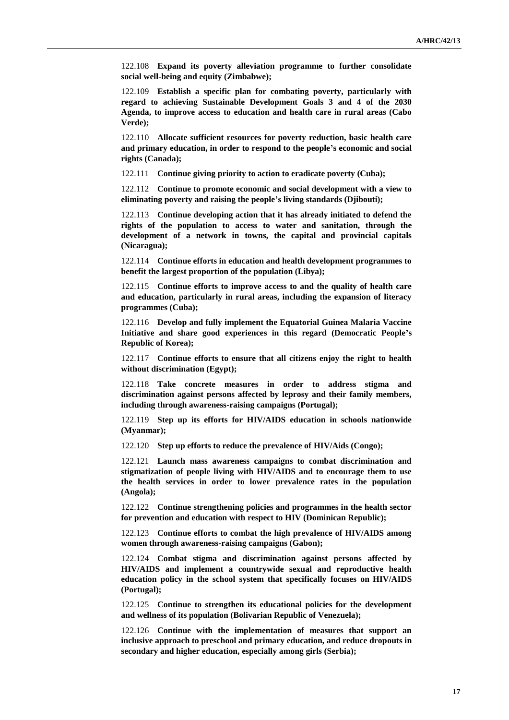122.108 **Expand its poverty alleviation programme to further consolidate social well-being and equity (Zimbabwe);**

122.109 **Establish a specific plan for combating poverty, particularly with regard to achieving Sustainable Development Goals 3 and 4 of the 2030 Agenda, to improve access to education and health care in rural areas (Cabo Verde);**

122.110 **Allocate sufficient resources for poverty reduction, basic health care and primary education, in order to respond to the people's economic and social rights (Canada);**

122.111 **Continue giving priority to action to eradicate poverty (Cuba);**

122.112 **Continue to promote economic and social development with a view to eliminating poverty and raising the people's living standards (Djibouti);**

122.113 **Continue developing action that it has already initiated to defend the rights of the population to access to water and sanitation, through the development of a network in towns, the capital and provincial capitals (Nicaragua);**

122.114 **Continue efforts in education and health development programmes to benefit the largest proportion of the population (Libya);**

122.115 **Continue efforts to improve access to and the quality of health care and education, particularly in rural areas, including the expansion of literacy programmes (Cuba);**

122.116 **Develop and fully implement the Equatorial Guinea Malaria Vaccine Initiative and share good experiences in this regard (Democratic People's Republic of Korea);**

122.117 **Continue efforts to ensure that all citizens enjoy the right to health without discrimination (Egypt);**

122.118 **Take concrete measures in order to address stigma and discrimination against persons affected by leprosy and their family members, including through awareness-raising campaigns (Portugal);**

122.119 **Step up its efforts for HIV/AIDS education in schools nationwide (Myanmar);**

122.120 **Step up efforts to reduce the prevalence of HIV/Aids (Congo);**

122.121 **Launch mass awareness campaigns to combat discrimination and stigmatization of people living with HIV/AIDS and to encourage them to use the health services in order to lower prevalence rates in the population (Angola);**

122.122 **Continue strengthening policies and programmes in the health sector for prevention and education with respect to HIV (Dominican Republic);**

122.123 **Continue efforts to combat the high prevalence of HIV/AIDS among women through awareness-raising campaigns (Gabon);**

122.124 **Combat stigma and discrimination against persons affected by HIV/AIDS and implement a countrywide sexual and reproductive health education policy in the school system that specifically focuses on HIV/AIDS (Portugal);**

122.125 **Continue to strengthen its educational policies for the development and wellness of its population (Bolivarian Republic of Venezuela);**

122.126 **Continue with the implementation of measures that support an inclusive approach to preschool and primary education, and reduce dropouts in secondary and higher education, especially among girls (Serbia);**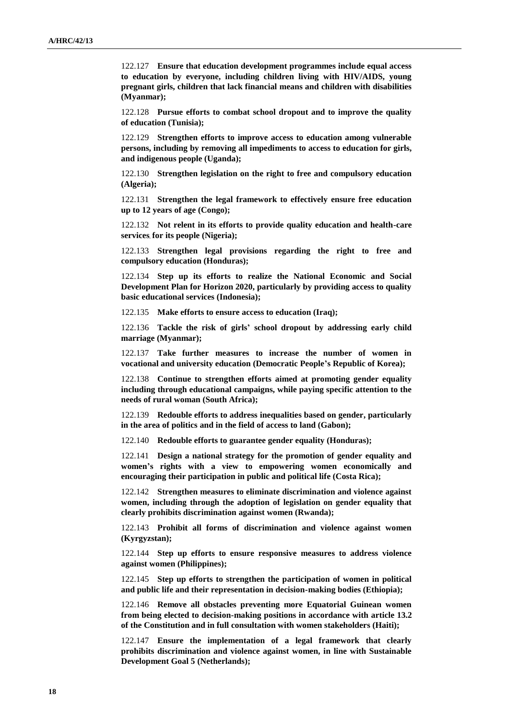122.127 **Ensure that education development programmes include equal access to education by everyone, including children living with HIV/AIDS, young pregnant girls, children that lack financial means and children with disabilities (Myanmar);**

122.128 **Pursue efforts to combat school dropout and to improve the quality of education (Tunisia);**

122.129 **Strengthen efforts to improve access to education among vulnerable persons, including by removing all impediments to access to education for girls, and indigenous people (Uganda);**

122.130 **Strengthen legislation on the right to free and compulsory education (Algeria);**

122.131 **Strengthen the legal framework to effectively ensure free education up to 12 years of age (Congo);**

122.132 **Not relent in its efforts to provide quality education and health-care services for its people (Nigeria);**

122.133 **Strengthen legal provisions regarding the right to free and compulsory education (Honduras);**

122.134 **Step up its efforts to realize the National Economic and Social Development Plan for Horizon 2020, particularly by providing access to quality basic educational services (Indonesia);**

122.135 **Make efforts to ensure access to education (Iraq);**

122.136 **Tackle the risk of girls' school dropout by addressing early child marriage (Myanmar);**

122.137 **Take further measures to increase the number of women in vocational and university education (Democratic People's Republic of Korea);**

122.138 **Continue to strengthen efforts aimed at promoting gender equality including through educational campaigns, while paying specific attention to the needs of rural woman (South Africa);**

122.139 **Redouble efforts to address inequalities based on gender, particularly in the area of politics and in the field of access to land (Gabon);**

122.140 **Redouble efforts to guarantee gender equality (Honduras);**

122.141 **Design a national strategy for the promotion of gender equality and women's rights with a view to empowering women economically and encouraging their participation in public and political life (Costa Rica);**

122.142 **Strengthen measures to eliminate discrimination and violence against women, including through the adoption of legislation on gender equality that clearly prohibits discrimination against women (Rwanda);**

122.143 **Prohibit all forms of discrimination and violence against women (Kyrgyzstan);**

122.144 **Step up efforts to ensure responsive measures to address violence against women (Philippines);**

122.145 **Step up efforts to strengthen the participation of women in political and public life and their representation in decision-making bodies (Ethiopia);**

122.146 **Remove all obstacles preventing more Equatorial Guinean women from being elected to decision-making positions in accordance with article 13.2 of the Constitution and in full consultation with women stakeholders (Haiti);**

122.147 **Ensure the implementation of a legal framework that clearly prohibits discrimination and violence against women, in line with Sustainable Development Goal 5 (Netherlands);**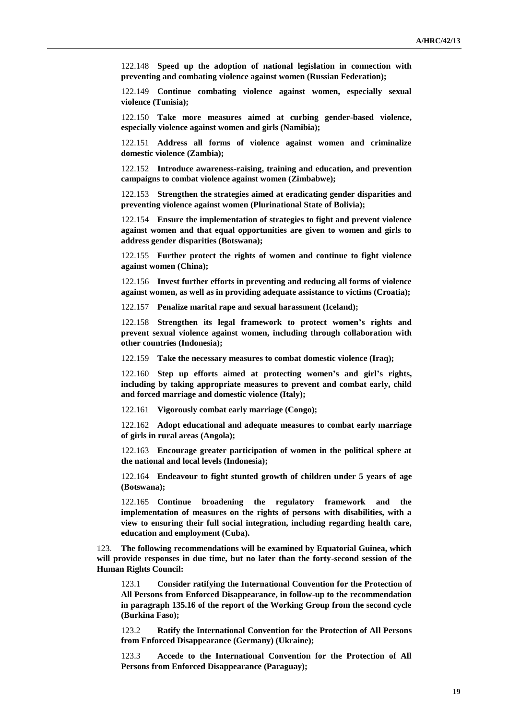122.148 **Speed up the adoption of national legislation in connection with preventing and combating violence against women (Russian Federation);**

122.149 **Continue combating violence against women, especially sexual violence (Tunisia);**

122.150 **Take more measures aimed at curbing gender-based violence, especially violence against women and girls (Namibia);**

122.151 **Address all forms of violence against women and criminalize domestic violence (Zambia);**

122.152 **Introduce awareness-raising, training and education, and prevention campaigns to combat violence against women (Zimbabwe);**

122.153 **Strengthen the strategies aimed at eradicating gender disparities and preventing violence against women (Plurinational State of Bolivia);**

122.154 **Ensure the implementation of strategies to fight and prevent violence against women and that equal opportunities are given to women and girls to address gender disparities (Botswana);**

122.155 **Further protect the rights of women and continue to fight violence against women (China);**

122.156 **Invest further efforts in preventing and reducing all forms of violence against women, as well as in providing adequate assistance to victims (Croatia);**

122.157 **Penalize marital rape and sexual harassment (Iceland);** 

122.158 **Strengthen its legal framework to protect women's rights and prevent sexual violence against women, including through collaboration with other countries (Indonesia);**

122.159 **Take the necessary measures to combat domestic violence (Iraq);**

122.160 **Step up efforts aimed at protecting women's and girl's rights, including by taking appropriate measures to prevent and combat early, child and forced marriage and domestic violence (Italy);**

122.161 **Vigorously combat early marriage (Congo);**

122.162 **Adopt educational and adequate measures to combat early marriage of girls in rural areas (Angola);**

122.163 **Encourage greater participation of women in the political sphere at the national and local levels (Indonesia);**

122.164 **Endeavour to fight stunted growth of children under 5 years of age (Botswana);**

122.165 **Continue broadening the regulatory framework and the implementation of measures on the rights of persons with disabilities, with a view to ensuring their full social integration, including regarding health care, education and employment (Cuba).**

123. **The following recommendations will be examined by Equatorial Guinea, which will provide responses in due time, but no later than the forty-second session of the Human Rights Council:**

123.1 **Consider ratifying the International Convention for the Protection of All Persons from Enforced Disappearance, in follow-up to the recommendation in paragraph 135.16 of the report of the Working Group from the second cycle (Burkina Faso);**

123.2 **Ratify the International Convention for the Protection of All Persons from Enforced Disappearance (Germany) (Ukraine);**

123.3 **Accede to the International Convention for the Protection of All Persons from Enforced Disappearance (Paraguay);**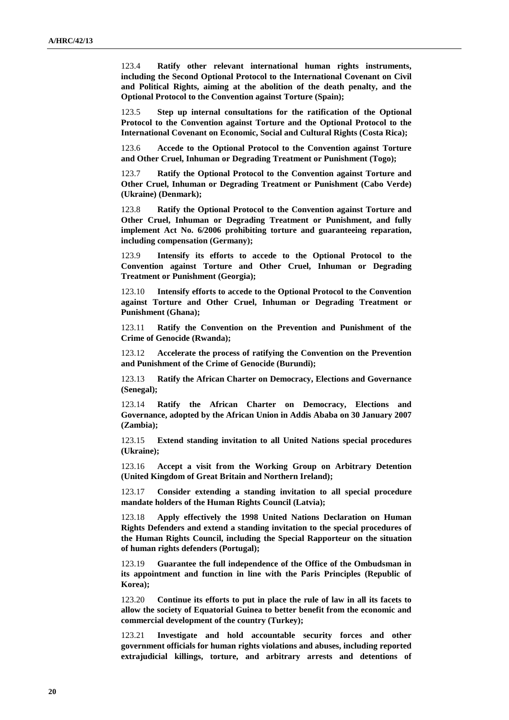123.4 **Ratify other relevant international human rights instruments, including the Second Optional Protocol to the International Covenant on Civil and Political Rights, aiming at the abolition of the death penalty, and the Optional Protocol to the Convention against Torture (Spain);**

123.5 **Step up internal consultations for the ratification of the Optional Protocol to the Convention against Torture and the Optional Protocol to the International Covenant on Economic, Social and Cultural Rights (Costa Rica);**

123.6 **Accede to the Optional Protocol to the Convention against Torture and Other Cruel, Inhuman or Degrading Treatment or Punishment (Togo);**

123.7 **Ratify the Optional Protocol to the Convention against Torture and Other Cruel, Inhuman or Degrading Treatment or Punishment (Cabo Verde) (Ukraine) (Denmark);**

123.8 **Ratify the Optional Protocol to the Convention against Torture and Other Cruel, Inhuman or Degrading Treatment or Punishment, and fully implement Act No. 6/2006 prohibiting torture and guaranteeing reparation, including compensation (Germany);**

123.9 **Intensify its efforts to accede to the Optional Protocol to the Convention against Torture and Other Cruel, Inhuman or Degrading Treatment or Punishment (Georgia);**

123.10 **Intensify efforts to accede to the Optional Protocol to the Convention against Torture and Other Cruel, Inhuman or Degrading Treatment or Punishment (Ghana);**

123.11 **Ratify the Convention on the Prevention and Punishment of the Crime of Genocide (Rwanda);**

123.12 **Accelerate the process of ratifying the Convention on the Prevention and Punishment of the Crime of Genocide (Burundi);**

123.13 **Ratify the African Charter on Democracy, Elections and Governance (Senegal);**

123.14 **Ratify the African Charter on Democracy, Elections and Governance, adopted by the African Union in Addis Ababa on 30 January 2007 (Zambia);**

123.15 **Extend standing invitation to all United Nations special procedures (Ukraine);**

123.16 **Accept a visit from the Working Group on Arbitrary Detention (United Kingdom of Great Britain and Northern Ireland);**

123.17 **Consider extending a standing invitation to all special procedure mandate holders of the Human Rights Council (Latvia);**

123.18 **Apply effectively the 1998 United Nations Declaration on Human Rights Defenders and extend a standing invitation to the special procedures of the Human Rights Council, including the Special Rapporteur on the situation of human rights defenders (Portugal);**

123.19 **Guarantee the full independence of the Office of the Ombudsman in its appointment and function in line with the Paris Principles (Republic of Korea);**

123.20 **Continue its efforts to put in place the rule of law in all its facets to allow the society of Equatorial Guinea to better benefit from the economic and commercial development of the country (Turkey);**

123.21 **Investigate and hold accountable security forces and other government officials for human rights violations and abuses, including reported extrajudicial killings, torture, and arbitrary arrests and detentions of**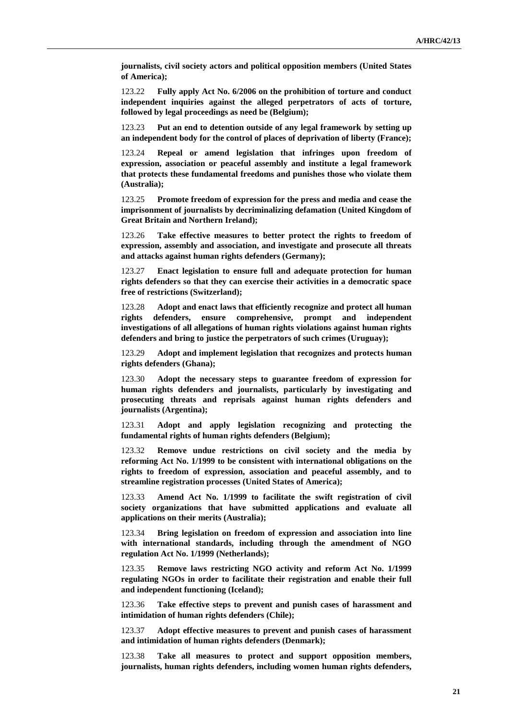**journalists, civil society actors and political opposition members (United States of America);**

123.22 **Fully apply Act No. 6/2006 on the prohibition of torture and conduct independent inquiries against the alleged perpetrators of acts of torture, followed by legal proceedings as need be (Belgium);**

123.23 **Put an end to detention outside of any legal framework by setting up an independent body for the control of places of deprivation of liberty (France);**

123.24 **Repeal or amend legislation that infringes upon freedom of expression, association or peaceful assembly and institute a legal framework that protects these fundamental freedoms and punishes those who violate them (Australia);**

123.25 **Promote freedom of expression for the press and media and cease the imprisonment of journalists by decriminalizing defamation (United Kingdom of Great Britain and Northern Ireland);**

123.26 **Take effective measures to better protect the rights to freedom of expression, assembly and association, and investigate and prosecute all threats and attacks against human rights defenders (Germany);**

123.27 **Enact legislation to ensure full and adequate protection for human rights defenders so that they can exercise their activities in a democratic space free of restrictions (Switzerland);**

123.28 **Adopt and enact laws that efficiently recognize and protect all human rights defenders, ensure comprehensive, prompt and independent investigations of all allegations of human rights violations against human rights defenders and bring to justice the perpetrators of such crimes (Uruguay);**

123.29 **Adopt and implement legislation that recognizes and protects human rights defenders (Ghana);**

123.30 **Adopt the necessary steps to guarantee freedom of expression for human rights defenders and journalists, particularly by investigating and prosecuting threats and reprisals against human rights defenders and journalists (Argentina);**

123.31 **Adopt and apply legislation recognizing and protecting the fundamental rights of human rights defenders (Belgium);**

123.32 **Remove undue restrictions on civil society and the media by reforming Act No. 1/1999 to be consistent with international obligations on the rights to freedom of expression, association and peaceful assembly, and to streamline registration processes (United States of America);**

123.33 **Amend Act No. 1/1999 to facilitate the swift registration of civil society organizations that have submitted applications and evaluate all applications on their merits (Australia);**

123.34 **Bring legislation on freedom of expression and association into line with international standards, including through the amendment of NGO regulation Act No. 1/1999 (Netherlands);**

123.35 **Remove laws restricting NGO activity and reform Act No. 1/1999 regulating NGOs in order to facilitate their registration and enable their full and independent functioning (Iceland);**

123.36 **Take effective steps to prevent and punish cases of harassment and intimidation of human rights defenders (Chile);**

123.37 **Adopt effective measures to prevent and punish cases of harassment and intimidation of human rights defenders (Denmark);**

123.38 **Take all measures to protect and support opposition members, journalists, human rights defenders, including women human rights defenders,**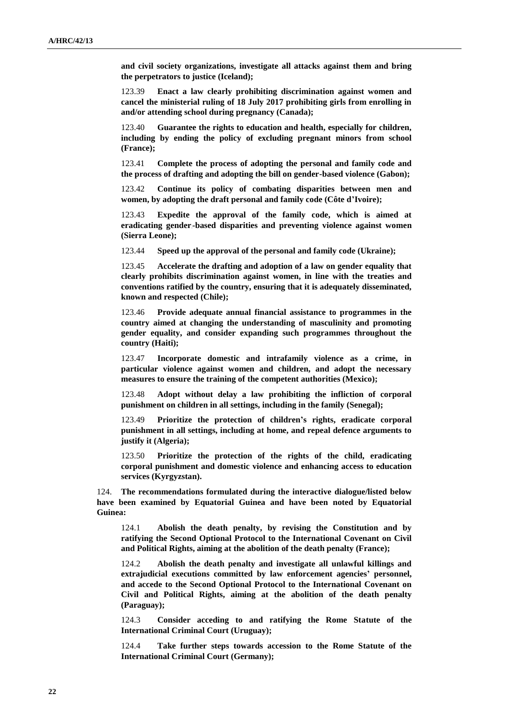**and civil society organizations, investigate all attacks against them and bring the perpetrators to justice (Iceland);**

123.39 **Enact a law clearly prohibiting discrimination against women and cancel the ministerial ruling of 18 July 2017 prohibiting girls from enrolling in and/or attending school during pregnancy (Canada);**

123.40 **Guarantee the rights to education and health, especially for children, including by ending the policy of excluding pregnant minors from school (France);**

123.41 **Complete the process of adopting the personal and family code and the process of drafting and adopting the bill on gender-based violence (Gabon);**

123.42 **Continue its policy of combating disparities between men and women, by adopting the draft personal and family code (Côte d'Ivoire);**

123.43 **Expedite the approval of the family code, which is aimed at eradicating gender -based disparities and preventing violence against women (Sierra Leone);**

123.44 **Speed up the approval of the personal and family code (Ukraine);**

123.45 **Accelerate the drafting and adoption of a law on gender equality that clearly prohibits discrimination against women, in line with the treaties and conventions ratified by the country, ensuring that it is adequately disseminated, known and respected (Chile);**

123.46 **Provide adequate annual financial assistance to programmes in the country aimed at changing the understanding of masculinity and promoting gender equality, and consider expanding such programmes throughout the country (Haiti);**

123.47 **Incorporate domestic and intrafamily violence as a crime, in particular violence against women and children, and adopt the necessary measures to ensure the training of the competent authorities (Mexico);**

123.48 **Adopt without delay a law prohibiting the infliction of corporal punishment on children in all settings, including in the family (Senegal);**

123.49 **Prioritize the protection of children's rights, eradicate corporal punishment in all settings, including at home, and repeal defence arguments to justify it (Algeria);**

123.50 **Prioritize the protection of the rights of the child, eradicating corporal punishment and domestic violence and enhancing access to education services (Kyrgyzstan).**

124. **The recommendations formulated during the interactive dialogue/listed below have been examined by Equatorial Guinea and have been noted by Equatorial Guinea:**

124.1 **Abolish the death penalty, by revising the Constitution and by ratifying the Second Optional Protocol to the International Covenant on Civil and Political Rights, aiming at the abolition of the death penalty (France);**

124.2 **Abolish the death penalty and investigate all unlawful killings and extrajudicial executions committed by law enforcement agencies' personnel, and accede to the Second Optional Protocol to the International Covenant on Civil and Political Rights, aiming at the abolition of the death penalty (Paraguay);**

124.3 **Consider acceding to and ratifying the Rome Statute of the International Criminal Court (Uruguay);**

124.4 **Take further steps towards accession to the Rome Statute of the International Criminal Court (Germany);**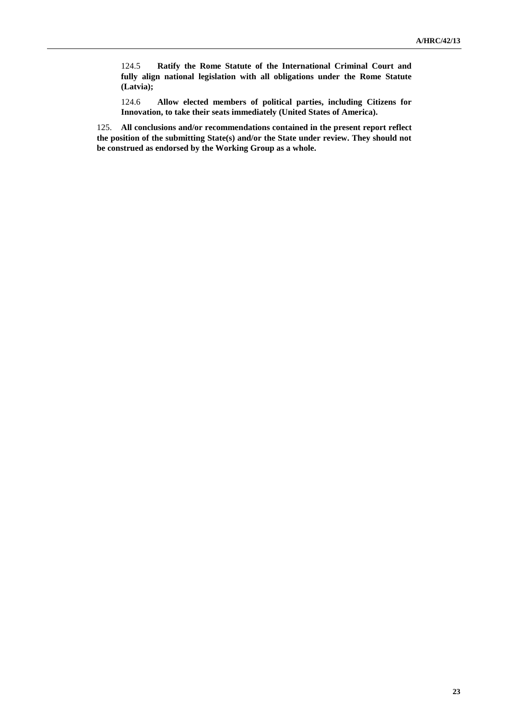124.5 **Ratify the Rome Statute of the International Criminal Court and fully align national legislation with all obligations under the Rome Statute (Latvia);**

124.6 **Allow elected members of political parties, including Citizens for Innovation, to take their seats immediately (United States of America).**

125. **All conclusions and/or recommendations contained in the present report reflect the position of the submitting State(s) and/or the State under review. They should not be construed as endorsed by the Working Group as a whole.**